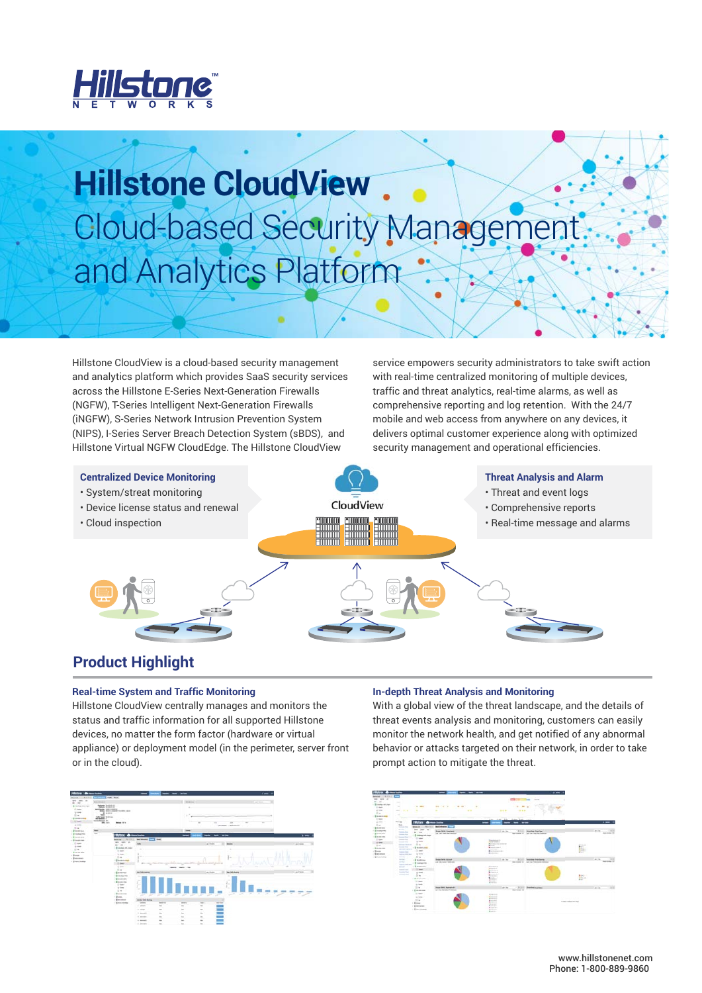

## **Hillstone CloudView** Cloud-based Security Management and Analytics Platform

Hillstone CloudView is a cloud-based security management and analytics platform which provides SaaS security services across the Hillstone E-Series Next-Generation Firewalls (NGFW), T-Series Intelligent Next-Generation Firewalls (iNGFW), S-Series Network Intrusion Prevention System (NIPS), I-Series Server Breach Detection System (sBDS), and Hillstone Virtual NGFW CloudEdge. The Hillstone CloudView

service empowers security administrators to take swift action with real-time centralized monitoring of multiple devices, traffic and threat analytics, real-time alarms, as well as comprehensive reporting and log retention. With the 24/7 mobile and web access from anywhere on any devices, it delivers optimal customer experience along with optimized security management and operational efficiencies.

**Centralized Device Monitoring Threat Analysis and Alarm** • System/streat monitoring • Threat and event logs CloudView • Device license status and renewal • Comprehensive reports • Real-time message and alarms• Cloud inspection

## **Product Highlight**

#### **Real-time System and Traffic Monitoring**

Hillstone CloudView centrally manages and monitors the status and traffic information for all supported Hillstone devices, no matter the form factor (hardware or virtual appliance) or deployment model (in the perimeter, server front or in the cloud).



#### **In-depth Threat Analysis and Monitoring**

With a global view of the threat landscape, and the details of threat events analysis and monitoring, customers can easily monitor the network health, and get notified of any abnormal behavior or attacks targeted on their network, in order to take prompt action to mitigate the threat.